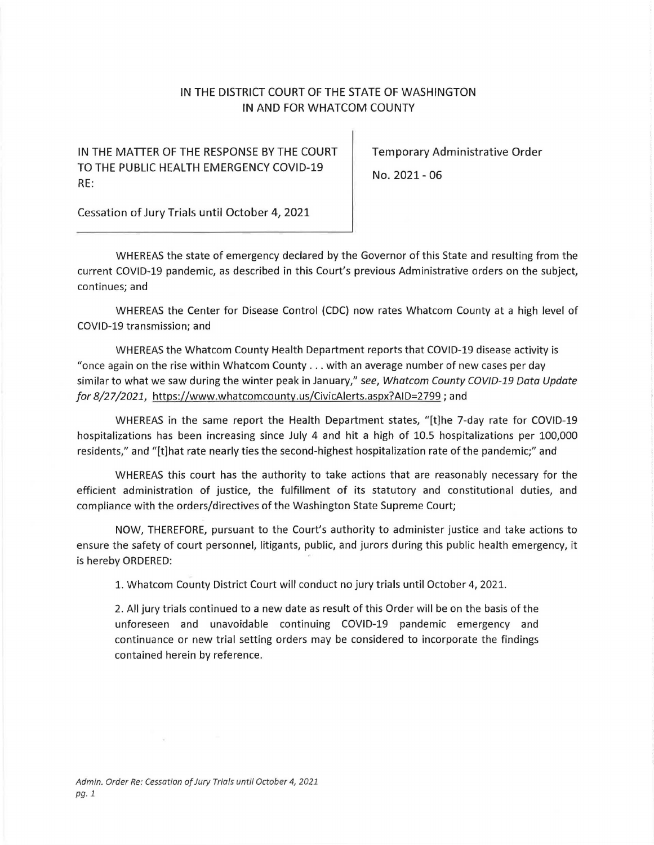## IN THE DISTRICT COURT OF THE STATE OF WASHINGTON IN AND FOR WHATCOM COUNTY

IN THE MATTER OF THE RESPONSE BY THE COURT | Temporary Administrative Order TO THE PUBLIC HEALTH EMERGENCY COVID-19 No. 2021 - 06 RE:

Cessation of Jury Trials until October 4, 2021

WHEREAS the state of emergency declared by the Governor of this State and resulting from the current COVID-19 pandemic, as described in this Court's previous Administrative orders on the subject, continues; and

WHEREAS the Center for Disease Control {CDC) now rates Whatcom County at a high level of COVID-19 transmission; and

WHEREAS the Whatcom County Health Department reports that COVID-19 disease activity is "once again on the rise within Whatcom County .. . with an average number of new cases per day similar to what we saw during the winter peak in January," see, Whatcom County COVID-19 Data Update *for 8/27/2021,* https:/ /<www.whatcomcounty.us/CivicAlerts.aspx?AID=2799>; and

WHEREAS in the same report the Health Department states, "[t)he 7-day rate for COVID-19 hospitalizations has been increasing since July 4 and hit a high of 10.5 hospitalizations per 100,000 residents," and "[t)hat rate nearly ties the second-highest hospitalization rate of the pandemic;" and

WHEREAS this court has the authority to take actions that are reasonably necessary for the efficient administration of justice, the fulfillment of its statutory and constitutional duties, and compliance with the orders/directives of the Washington State Supreme Court;

NOW, THEREFORE, pursuant to the Court's authority to administer justice and take actions to ensure the safety of court personnel, litigants, public, and jurors during this public health emergency, it is hereby ORDERED:

1. Whatcom County District Court will conduct no jury trials until October 4, 2021.

2. All jury trials continued to a new date as result of this Order will be on the basis of the unforeseen and unavoidable continuing COVID-19 pandemic emergency and continuance or new trial setting orders may be considered to incorporate the findings contained herein by reference.

 $\langle \psi \rangle$